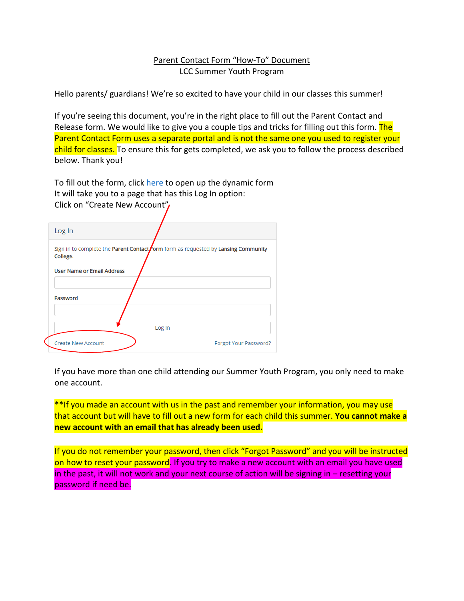## Parent Contact Form "How-To" Document LCC Summer Youth Program

Hello parents/ guardians! We're so excited to have your child in our classes this summer!

If you're seeing this document, you're in the right place to fill out the Parent Contact and Release form. We would like to give you a couple tips and tricks for filling out this form. The Parent Contact Form uses a separate portal and is not the same one you used to register your child for classes. To ensure this for gets completed, we ask you to follow the process described below. Thank you!

To fill out the form, click [here](https://dynamicforms.ngwebsolutions.com/Account/Login?ReturnUrl=%2FSubmit%2FStart%2F9bc00be2-c175-4df0-911a-9c65dab997f7%3FSSO%3DN) to open up the dynamic form It will take you to a page that has this Log In option: Click on "Create New Account"

| Log In                                                                                         |
|------------------------------------------------------------------------------------------------|
| Sign in to complete the Parent Contact form form as requested by Lansing Community<br>College. |
| <b>User Name or Email Address</b>                                                              |
|                                                                                                |
| Password                                                                                       |
|                                                                                                |
| Log In                                                                                         |
| <b>Create New Account</b><br>Forgot Your Password?                                             |

If you have more than one child attending our Summer Youth Program, you only need to make one account.

\*\*If you made an account with us in the past and remember your information, you may use that account but will have to fill out a new form for each child this summer. **You cannot make a new account with an email that has already been used.**

If you do not remember your password, then click "Forgot Password" and you will be instructed on how to reset your password. If you try to make a new account with an email you have used in the past, it will not work and your next course of action will be signing in – resetting your password if need be.